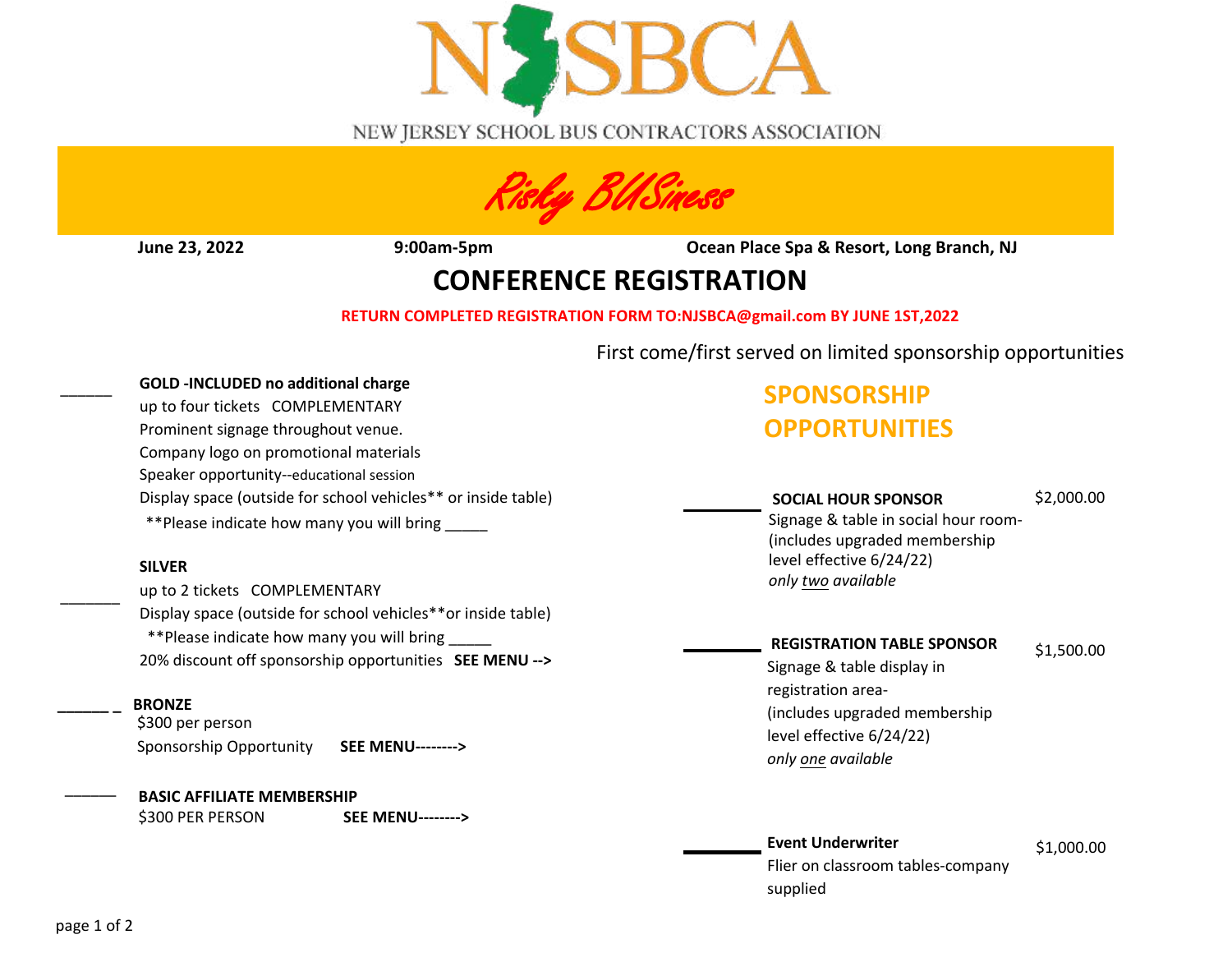

NEW JERSEY SCHOOL BUS CONTRACTORS ASSOCIATION



**June 23, 2022 9:00am-5pm Ocean Place Spa & Resort, Long Branch, NJ**

## **CONFERENCE REGISTRATION**

## **RETURN COMPLETED REGISTRATION FORM TO:NJSBCA@gmail.com BY JUNE 1ST,2022**

First come/first served on limited sponsorship opportunities

### **GOLD -INCLUDED no additional charge**

up to four tickets COMPLEMENTARY Prominent signage throughout venue. Company logo on promotional materials Speaker opportunity--educational session Display space (outside for school vehicles\*\* or inside table) \*\*Please indicate how many you will bring \_\_\_\_\_

### **SILVER**

up to 2 tickets COMPLEMENTARY Display space (outside for school vehicles\*\*or inside table) \*\*Please indicate how many you will bring \_\_\_\_\_ 20% discount off sponsorship opportunities **SEE MENU -->**

## **\_\_\_\_\_\_ \_ BRONZE**

\$300 per person Sponsorship Opportunity **SEE MENU-------->**

### **BASIC AFFILIATE MEMBERSHIP**

\$300 PER PERSON **SEE MENU-------->**

# **SPONSORSHIP OPPORTUNITIES**

## **SOCIAL HOUR SPONSOR**

### \$2,000.00

Signage & table in social hour room- (includes upgraded membership level effective 6/24/22) *only two available* 

## **REGISTRATION TABLE SPONSOR**

\$1,500.00

Signage & table display in registration area- (includes upgraded membership level effective 6/24/22) *only one available*

#### \$1,000.00 **Event Underwriter** Flier on classroom tables-company supplied

 $\overline{\phantom{a}}$ 

 $\overline{\phantom{a}}$ 

\_\_\_\_\_\_